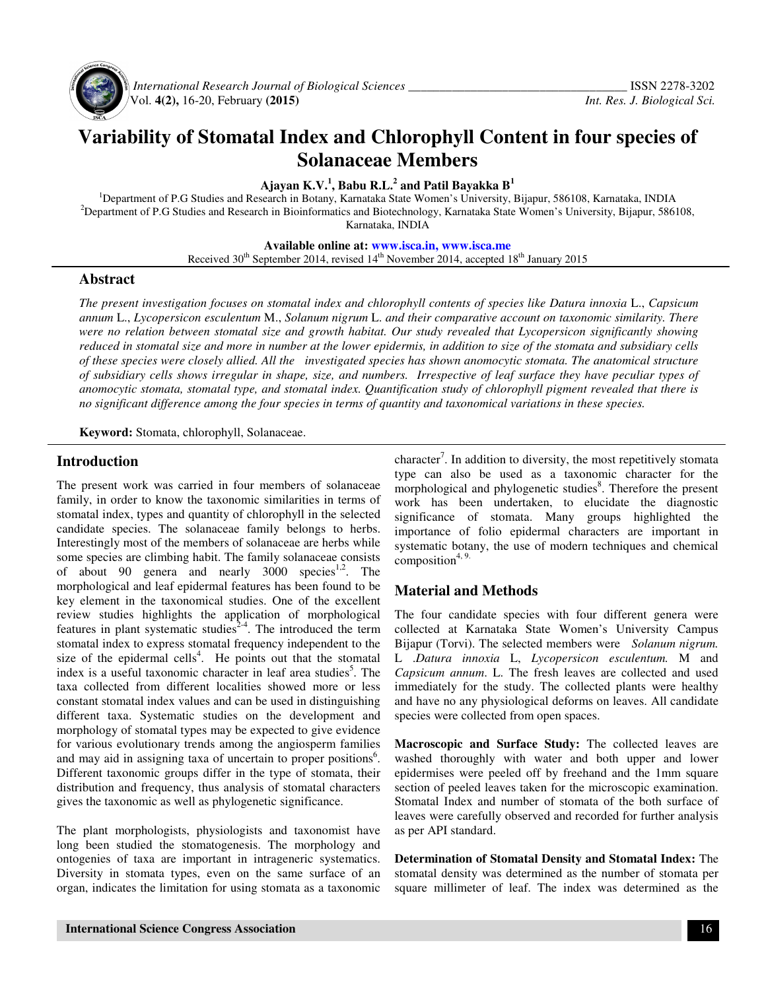

 *International Research Journal of Biological Sciences \_\_\_\_\_\_\_\_\_\_\_\_\_\_\_\_\_\_\_\_\_\_\_\_\_\_\_\_\_\_\_\_\_\_\_* ISSN 2278-3202 Vol. **4(2),** 16-20, February **(2015)** *Int. Res. J. Biological Sci.*

# **Variability of Stomatal Index and Chlorophyll Content in four species of Solanaceae Members**

**Ajayan K.V.<sup>1</sup> , Babu R.L.<sup>2</sup> and Patil Bayakka B<sup>1</sup>**

<sup>1</sup>Department of P.G Studies and Research in Botany, Karnataka State Women's University, Bijapur, 586108, Karnataka, INDIA <sup>2</sup>Department of P.G Studies and Research in Bioinformatics and Biotechnology, Karnataka State Women's University, Bijapur, 586108, Karnataka, INDIA

**Available online at: www.isca.in, www.isca.me**

Received  $30<sup>th</sup>$  September 2014, revised  $14<sup>th</sup>$  November 2014, accepted  $18<sup>th</sup>$  January 2015

#### **Abstract**

*The present investigation focuses on stomatal index and chlorophyll contents of species like Datura innoxia* L., *Capsicum annum* L., *Lycopersicon esculentum* M., *Solanum nigrum* L. *and their comparative account on taxonomic similarity. There were no relation between stomatal size and growth habitat. Our study revealed that Lycopersicon significantly showing reduced in stomatal size and more in number at the lower epidermis, in addition to size of the stomata and subsidiary cells of these species were closely allied. All the investigated species has shown anomocytic stomata. The anatomical structure of subsidiary cells shows irregular in shape, size, and numbers. Irrespective of leaf surface they have peculiar types of anomocytic stomata, stomatal type, and stomatal index. Quantification study of chlorophyll pigment revealed that there is no significant difference among the four species in terms of quantity and taxonomical variations in these species.* 

**Keyword:** Stomata, chlorophyll, Solanaceae.

## **Introduction**

The present work was carried in four members of solanaceae family, in order to know the taxonomic similarities in terms of stomatal index, types and quantity of chlorophyll in the selected candidate species. The solanaceae family belongs to herbs. Interestingly most of the members of solanaceae are herbs while some species are climbing habit. The family solanaceae consists of about 90 genera and nearly  $3000$  species<sup>1,2</sup>. The morphological and leaf epidermal features has been found to be key element in the taxonomical studies. One of the excellent review studies highlights the application of morphological features in plant systematic studies<sup>2-4</sup>. The introduced the term stomatal index to express stomatal frequency independent to the size of the epidermal cells<sup>4</sup>. He points out that the stomatal index is a useful taxonomic character in leaf area studies<sup>5</sup>. The taxa collected from different localities showed more or less constant stomatal index values and can be used in distinguishing different taxa. Systematic studies on the development and morphology of stomatal types may be expected to give evidence for various evolutionary trends among the angiosperm families and may aid in assigning taxa of uncertain to proper positions<sup>6</sup>. Different taxonomic groups differ in the type of stomata, their distribution and frequency, thus analysis of stomatal characters gives the taxonomic as well as phylogenetic significance.

The plant morphologists, physiologists and taxonomist have long been studied the stomatogenesis. The morphology and ontogenies of taxa are important in intrageneric systematics. Diversity in stomata types, even on the same surface of an organ, indicates the limitation for using stomata as a taxonomic

character<sup>7</sup>. In addition to diversity, the most repetitively stomata type can also be used as a taxonomic character for the morphological and phylogenetic studies $\delta$ . Therefore the present work has been undertaken, to elucidate the diagnostic significance of stomata. Many groups highlighted the importance of folio epidermal characters are important in systematic botany, the use of modern techniques and chemical composition $4, 9$ .

## **Material and Methods**

The four candidate species with four different genera were collected at Karnataka State Women's University Campus Bijapur (Torvi). The selected members were *Solanum nigrum.* L .*Datura innoxia* L, *Lycopersicon esculentum.* M and *Capsicum annum*. L. The fresh leaves are collected and used immediately for the study. The collected plants were healthy and have no any physiological deforms on leaves. All candidate species were collected from open spaces.

**Macroscopic and Surface Study:** The collected leaves are washed thoroughly with water and both upper and lower epidermises were peeled off by freehand and the 1mm square section of peeled leaves taken for the microscopic examination. Stomatal Index and number of stomata of the both surface of leaves were carefully observed and recorded for further analysis as per API standard.

**Determination of Stomatal Density and Stomatal Index:** The stomatal density was determined as the number of stomata per square millimeter of leaf. The index was determined as the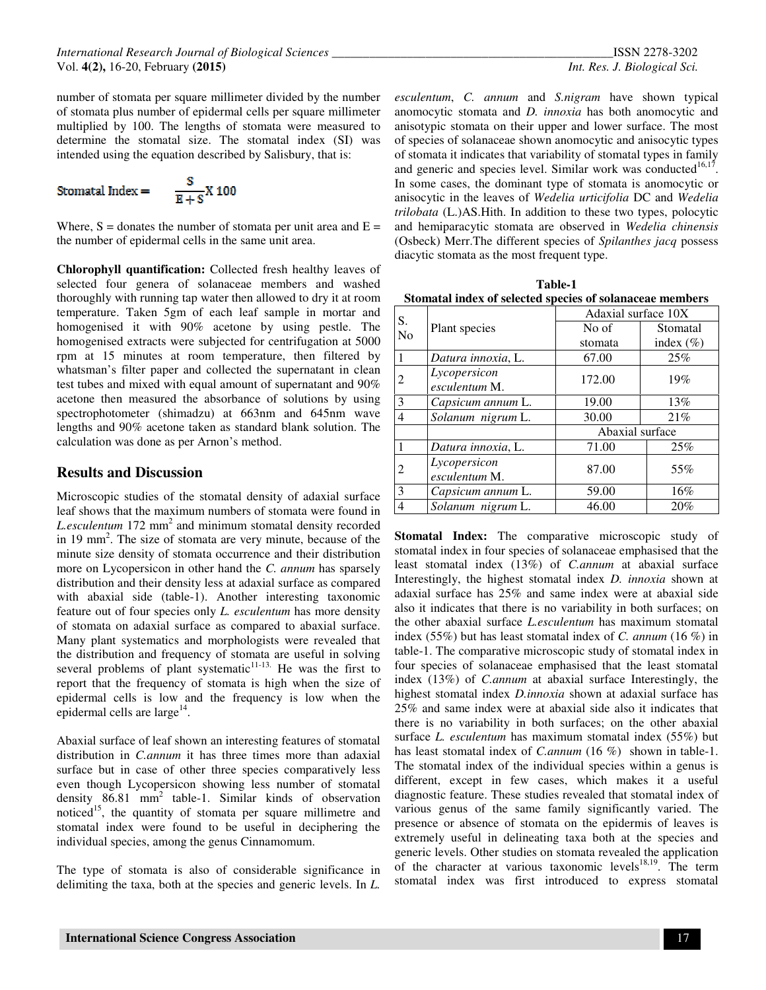$$
Stomatal Index = \frac{S}{E+S} X 1
$$

100

Where,  $S =$  donates the number of stomata per unit area and  $E =$ the number of epidermal cells in the same unit area.

**Chlorophyll quantification:** Collected fresh healthy leaves of selected four genera of solanaceae members and washed thoroughly with running tap water then allowed to dry it at room temperature. Taken 5gm of each leaf sample in mortar and homogenised it with 90% acetone by using pestle. The homogenised extracts were subjected for centrifugation at 5000 rpm at 15 minutes at room temperature, then filtered by whatsman's filter paper and collected the supernatant in clean test tubes and mixed with equal amount of supernatant and 90% acetone then measured the absorbance of solutions by using spectrophotometer (shimadzu) at 663nm and 645nm wave lengths and 90% acetone taken as standard blank solution. The calculation was done as per Arnon's method.

#### **Results and Discussion**

Microscopic studies of the stomatal density of adaxial surface leaf shows that the maximum numbers of stomata were found in L.esculentum 172 mm<sup>2</sup> and minimum stomatal density recorded in 19 mm<sup>2</sup>. The size of stomata are very minute, because of the minute size density of stomata occurrence and their distribution more on Lycopersicon in other hand the *C. annum* has sparsely distribution and their density less at adaxial surface as compared with abaxial side (table-1). Another interesting taxonomic feature out of four species only *L. esculentum* has more density of stomata on adaxial surface as compared to abaxial surface. Many plant systematics and morphologists were revealed that the distribution and frequency of stomata are useful in solving several problems of plant systematic $11-13$ . He was the first to report that the frequency of stomata is high when the size of epidermal cells is low and the frequency is low when the epidermal cells are large $^{14}$ .

Abaxial surface of leaf shown an interesting features of stomatal distribution in *C.annum* it has three times more than adaxial surface but in case of other three species comparatively less even though Lycopersicon showing less number of stomatal density 86.81 mm<sup>2</sup> table-1. Similar kinds of observation noticed<sup>15</sup>, the quantity of stomata per square millimetre and stomatal index were found to be useful in deciphering the individual species, among the genus Cinnamomum.

The type of stomata is also of considerable significance in delimiting the taxa, both at the species and generic levels. In *L.* 

*esculentum*, *C. annum* and *S.nigram* have shown typical anomocytic stomata and *D. innoxia* has both anomocytic and anisotypic stomata on their upper and lower surface. The most of species of solanaceae shown anomocytic and anisocytic types of stomata it indicates that variability of stomatal types in family and generic and species level. Similar work was conducted $16,17$ . In some cases, the dominant type of stomata is anomocytic or anisocytic in the leaves of *Wedelia urticifolia* DC and *Wedelia trilobata* (L.)AS.Hith. In addition to these two types, polocytic and hemiparacytic stomata are observed in *Wedelia chinensis* (Osbeck) Merr.The different species of *Spilanthes jacq* possess diacytic stomata as the most frequent type.

| <b>Table-1</b>                                           |  |  |  |  |
|----------------------------------------------------------|--|--|--|--|
| Stomatal index of selected species of solanaceae members |  |  |  |  |

| S. |                               | Adaxial surface 10X |               |  |
|----|-------------------------------|---------------------|---------------|--|
| No | Plant species                 | No of               | Stomatal      |  |
|    |                               | stomata             | index $(\% )$ |  |
|    | Datura innoxia, L.            | 67.00               | 25%           |  |
| 2  | Lycopersicon<br>esculentum M. | 172.00              | 19%           |  |
| 3  | Capsicum annum L.             | 19.00               | 13%           |  |
| 4  | Solanum nigrum L.             | 30.00               | 21%           |  |
|    |                               | Abaxial surface     |               |  |
|    | Datura innoxia, L.            | 71.00               | 25%           |  |
| 2  | Lycopersicon<br>esculentum M. | 87.00               | 55%           |  |
| 3  | Capsicum annum L.             | 59.00               | 16%           |  |
| 4  | Solanum nigrum L.             | 46.00               | 20%           |  |

**Stomatal Index:** The comparative microscopic study of stomatal index in four species of solanaceae emphasised that the least stomatal index (13%) of *C.annum* at abaxial surface Interestingly, the highest stomatal index *D. innoxia* shown at adaxial surface has 25% and same index were at abaxial side also it indicates that there is no variability in both surfaces; on the other abaxial surface *L.esculentum* has maximum stomatal index (55%) but has least stomatal index of *C. annum* (16 %) in table-1. The comparative microscopic study of stomatal index in four species of solanaceae emphasised that the least stomatal index (13%) of *C.annum* at abaxial surface Interestingly, the highest stomatal index *D.innoxia* shown at adaxial surface has 25% and same index were at abaxial side also it indicates that there is no variability in both surfaces; on the other abaxial surface *L. esculentum* has maximum stomatal index (55%) but has least stomatal index of *C.annum* (16 %) shown in table-1. The stomatal index of the individual species within a genus is different, except in few cases, which makes it a useful diagnostic feature. These studies revealed that stomatal index of various genus of the same family significantly varied. The presence or absence of stomata on the epidermis of leaves is extremely useful in delineating taxa both at the species and generic levels. Other studies on stomata revealed the application of the character at various taxonomic levels $18,19$ . The term stomatal index was first introduced to express stomatal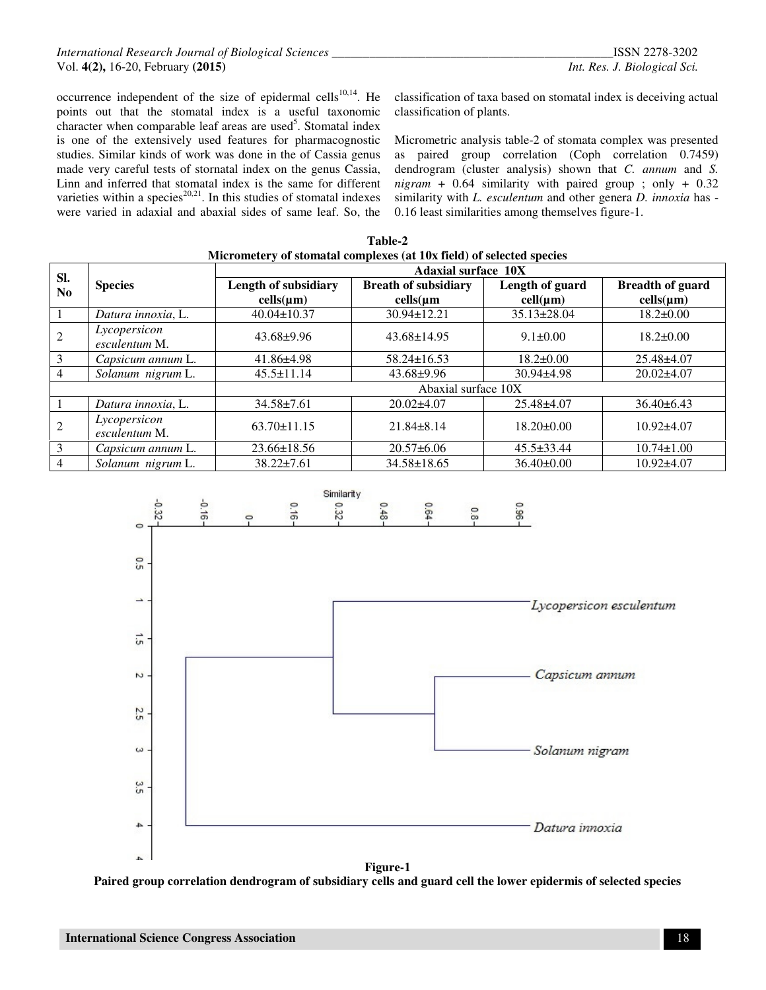occurrence independent of the size of epidermal cells $10,14$ . He points out that the stomatal index is a useful taxonomic character when comparable leaf areas are used<sup>5</sup>. Stomatal index is one of the extensively used features for pharmacognostic studies. Similar kinds of work was done in the of Cassia genus made very careful tests of stornatal index on the genus Cassia, Linn and inferred that stomatal index is the same for different varieties within a species<sup>20,21</sup>. In this studies of stomatal indexes were varied in adaxial and abaxial sides of same leaf. So, the classification of taxa based on stomatal index is deceiving actual classification of plants.

Micrometric analysis table-2 of stomata complex was presented as paired group correlation (Coph correlation 0.7459) dendrogram (cluster analysis) shown that *C. annum* and *S. nigram* + 0.64 similarity with paired group ; only + 0.32 similarity with *L. esculentum* and other genera *D. innoxia* has - 0.16 least similarities among themselves figure-1.

| Micrometery of stomatal complexes (at 10x field) of selected species |                               |                                        |                                                      |                             |                                           |  |
|----------------------------------------------------------------------|-------------------------------|----------------------------------------|------------------------------------------------------|-----------------------------|-------------------------------------------|--|
| SI.                                                                  |                               | <b>Adaxial surface 10X</b>             |                                                      |                             |                                           |  |
| N <sub>0</sub>                                                       | <b>Species</b>                | Length of subsidiary<br>$cells(\mu m)$ | <b>Breath of subsidiary</b><br>$\text{cells}(\mu m)$ | Length of guard<br>cell(nm) | <b>Breadth of guard</b><br>$cells(\mu m)$ |  |
|                                                                      | Datura innoxia, L.            | $40.04 \pm 10.37$                      | $30.94 \pm 12.21$                                    | $35.13 \pm 28.04$           | $18.2 \pm 0.00$                           |  |
| $\overline{2}$                                                       | Lycopersicon<br>esculentum M. | $43.68 \pm 9.96$                       | $43.68 \pm 14.95$                                    | $9.1 \pm 0.00$              | $18.2 \pm 0.00$                           |  |
| 3                                                                    | Capsicum annum L.             | $41.86\pm4.98$                         | $58.24 \pm 16.53$                                    | $18.2 \pm 0.00$             | 25.48±4.07                                |  |
| $\overline{4}$                                                       | Solanum nigrum L.             | $45.5 \pm 11.14$                       | $43.68 \pm 9.96$                                     | $30.94 \pm 4.98$            | $20.02\pm4.07$                            |  |
|                                                                      |                               | Abaxial surface 10X                    |                                                      |                             |                                           |  |
|                                                                      | Datura innoxia, L.            | $34.58 \pm 7.61$                       | $20.02\pm4.07$                                       | $25.48 \pm 4.07$            | $36.40\pm 6.43$                           |  |
| $\overline{2}$                                                       | Lycopersicon<br>esculentum M. | $63.70 \pm 11.15$                      | $21.84 \pm 8.14$                                     | $18.20 \pm 0.00$            | $10.92\pm4.07$                            |  |
| 3                                                                    | Capsicum annum L.             | $23.66 \pm 18.56$                      | $20.57\pm 6.06$                                      | $45.5 \pm 33.44$            | $10.74 \pm 1.00$                          |  |
| $\overline{4}$                                                       | Solanum nigrum L.             | $38.22 \pm 7.61$                       | $34.58 \pm 18.65$                                    | $36.40 \pm 0.00$            | $10.92{\pm}4.07$                          |  |

**Table-2** 



**Paired group correlation dendrogram of subsidiary cells and guard cell the lower epidermis of selected species**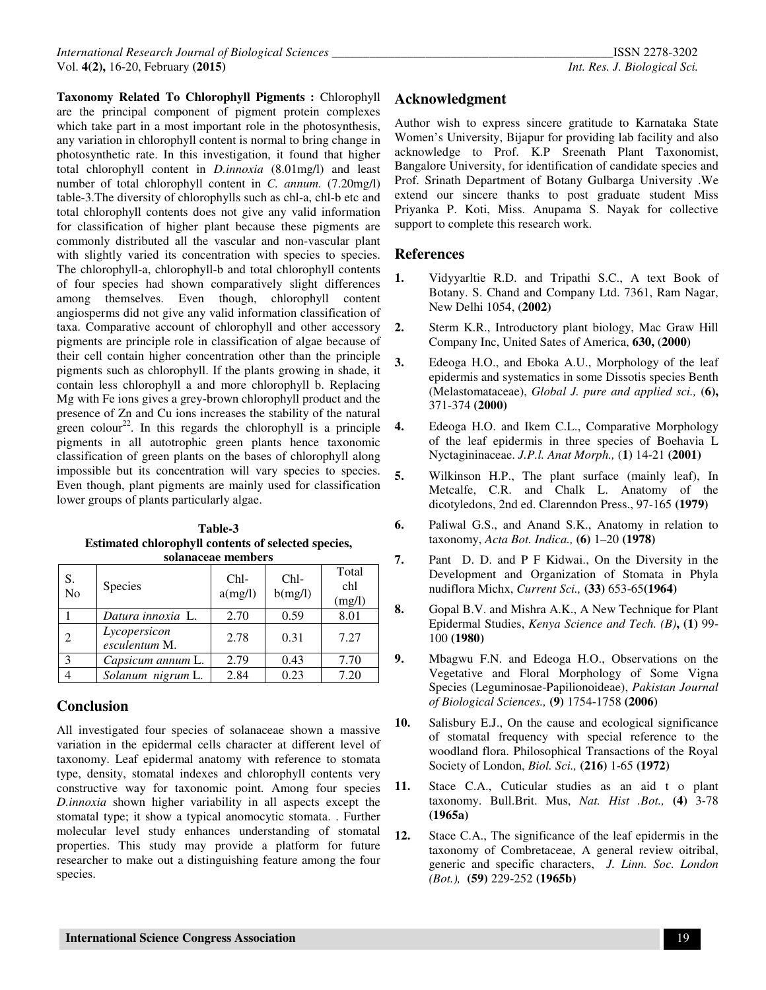**Taxonomy Related To Chlorophyll Pigments :** Chlorophyll are the principal component of pigment protein complexes which take part in a most important role in the photosynthesis, any variation in chlorophyll content is normal to bring change in photosynthetic rate. In this investigation, it found that higher total chlorophyll content in *D.innoxia* (8.01mg/l) and least number of total chlorophyll content in *C. annum.* (7.20mg/l) table-3.The diversity of chlorophylls such as chl-a, chl-b etc and total chlorophyll contents does not give any valid information for classification of higher plant because these pigments are commonly distributed all the vascular and non-vascular plant with slightly varied its concentration with species to species. The chlorophyll-a, chlorophyll-b and total chlorophyll contents of four species had shown comparatively slight differences among themselves. Even though, chlorophyll content angiosperms did not give any valid information classification of taxa. Comparative account of chlorophyll and other accessory pigments are principle role in classification of algae because of their cell contain higher concentration other than the principle pigments such as chlorophyll. If the plants growing in shade, it contain less chlorophyll a and more chlorophyll b. Replacing Mg with Fe ions gives a grey-brown chlorophyll product and the presence of Zn and Cu ions increases the stability of the natural green colour<sup>22</sup>. In this regards the chlorophyll is a principle pigments in all autotrophic green plants hence taxonomic classification of green plants on the bases of chlorophyll along impossible but its concentration will vary species to species. Even though, plant pigments are mainly used for classification lower groups of plants particularly algae.

| Table-3                                             |  |  |  |  |
|-----------------------------------------------------|--|--|--|--|
| Estimated chlorophyll contents of selected species, |  |  |  |  |
| solanaceae members                                  |  |  |  |  |

| зонапассае піснірсі з       |                               |                   |                   |                        |  |  |  |
|-----------------------------|-------------------------------|-------------------|-------------------|------------------------|--|--|--|
| S.<br>No                    | Species                       | $Chl-$<br>a(mg/l) | $Chl-$<br>b(mg/l) | Total<br>chl<br>(mg/l) |  |  |  |
|                             | Datura innoxia L.             | 2.70              | 0.59              | 8.01                   |  |  |  |
| $\mathcal{D}_{\mathcal{L}}$ | Lycopersicon<br>esculentum M. | 2.78              | 0.31              | 7.27                   |  |  |  |
| $\mathcal{E}$               | Capsicum annum L.             | 2.79              | 0.43              | 7.70                   |  |  |  |
|                             | Solanum nigrum L.             | 2.84              | 0.23              | 7.20                   |  |  |  |

# **Conclusion**

All investigated four species of solanaceae shown a massive variation in the epidermal cells character at different level of taxonomy. Leaf epidermal anatomy with reference to stomata type, density, stomatal indexes and chlorophyll contents very constructive way for taxonomic point. Among four species *D.innoxia* shown higher variability in all aspects except the stomatal type; it show a typical anomocytic stomata. . Further molecular level study enhances understanding of stomatal properties. This study may provide a platform for future researcher to make out a distinguishing feature among the four species.

# **Acknowledgment**

Author wish to express sincere gratitude to Karnataka State Women's University, Bijapur for providing lab facility and also acknowledge to Prof. K.P Sreenath Plant Taxonomist, Bangalore University, for identification of candidate species and Prof. Srinath Department of Botany Gulbarga University .We extend our sincere thanks to post graduate student Miss Priyanka P. Koti, Miss. Anupama S. Nayak for collective support to complete this research work.

## **References**

- **1.** Vidyyarltie R.D. and Tripathi S.C., A text Book of Botany. S. Chand and Company Ltd. 7361, Ram Nagar, New Delhi 1054, (**2002)**
- **2.** Sterm K.R., Introductory plant biology, Mac Graw Hill Company Inc, United Sates of America, **630,** (**2000)**
- **3.** Edeoga H.O., and Eboka A.U., Morphology of the leaf epidermis and systematics in some Dissotis species Benth (Melastomataceae), *Global J. pure and applied sci.,* (**6),**  371-374 **(2000)**
- **4.** Edeoga H.O. and Ikem C.L., Comparative Morphology of the leaf epidermis in three species of Boehavia L Nyctagininaceae. *J.P.l. Anat Morph.,* (**1)** 14-21 **(2001)**
- **5.** Wilkinson H.P., The plant surface (mainly leaf), In Metcalfe, C.R. and Chalk L. Anatomy of the dicotyledons, 2nd ed. Clarenndon Press., 97-165 **(1979)**
- **6.** Paliwal G.S., and Anand S.K., Anatomy in relation to taxonomy, *Acta Bot. Indica.,* **(6)** 1–20 **(1978)**
- **7.** Pant D. D. and P F Kidwai., On the Diversity in the Development and Organization of Stomata in Phyla nudiflora Michx, *Current Sci.,* **(33)** 653-65**(1964)**
- **8.** Gopal B.V. and Mishra A.K., A New Technique for Plant Epidermal Studies, *Kenya Science and Tech. (B)***, (1)** 99- 100 **(1980)**
- **9.** Mbagwu F.N. and Edeoga H.O., Observations on the Vegetative and Floral Morphology of Some Vigna Species (Leguminosae-Papilionoideae), *Pakistan Journal of Biological Sciences.,* **(9)** 1754-1758 **(2006)**
- **10.** Salisbury E.J., On the cause and ecological significance of stomatal frequency with special reference to the woodland flora. Philosophical Transactions of the Royal Society of London, *Biol. Sci.,* **(216)** 1-65 **(1972)**
- **11.** Stace C.A., Cuticular studies as an aid t o plant taxonomy. Bull.Brit. Mus, *Nat. Hist .Bot.,* **(4)** 3-78 **(1965a)**
- **12.** Stace C.A., The significance of the leaf epidermis in the taxonomy of Combretaceae, A general review oitribal, generic and specific characters, *J. Linn. Soc. London (Bot.),* **(59)** 229-252 **(1965b)**